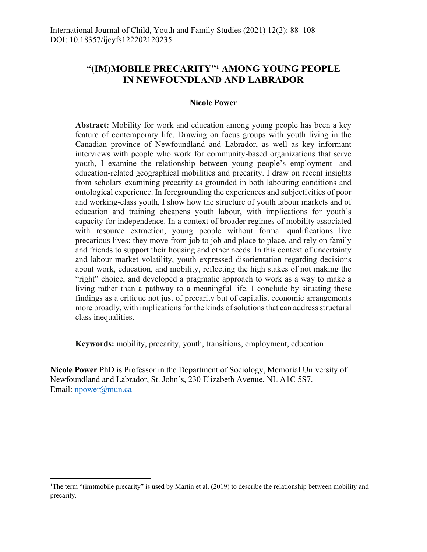# **"(IM)MOBILE PRECARITY"1 AMONG YOUNG PEOPLE IN NEWFOUNDLAND AND LABRADOR**

#### **Nicole Power**

**Abstract:** Mobility for work and education among young people has been a key feature of contemporary life. Drawing on focus groups with youth living in the Canadian province of Newfoundland and Labrador, as well as key informant interviews with people who work for community-based organizations that serve youth, I examine the relationship between young people's employment- and education-related geographical mobilities and precarity. I draw on recent insights from scholars examining precarity as grounded in both labouring conditions and ontological experience. In foregrounding the experiences and subjectivities of poor and working-class youth, I show how the structure of youth labour markets and of education and training cheapens youth labour, with implications for youth's capacity for independence. In a context of broader regimes of mobility associated with resource extraction, young people without formal qualifications live precarious lives: they move from job to job and place to place, and rely on family and friends to support their housing and other needs. In this context of uncertainty and labour market volatility, youth expressed disorientation regarding decisions about work, education, and mobility, reflecting the high stakes of not making the "right" choice, and developed a pragmatic approach to work as a way to make a living rather than a pathway to a meaningful life. I conclude by situating these findings as a critique not just of precarity but of capitalist economic arrangements more broadly, with implications for the kinds of solutions that can address structural class inequalities.

**Keywords:** mobility, precarity, youth, transitions, employment, education

**Nicole Power** PhD is Professor in the Department of Sociology, Memorial University of Newfoundland and Labrador, St. John's, 230 Elizabeth Avenue, NL A1C 5S7. Email: npower@mun.ca

<sup>&</sup>lt;sup>1</sup>The term "(im)mobile precarity" is used by Martin et al. (2019) to describe the relationship between mobility and precarity.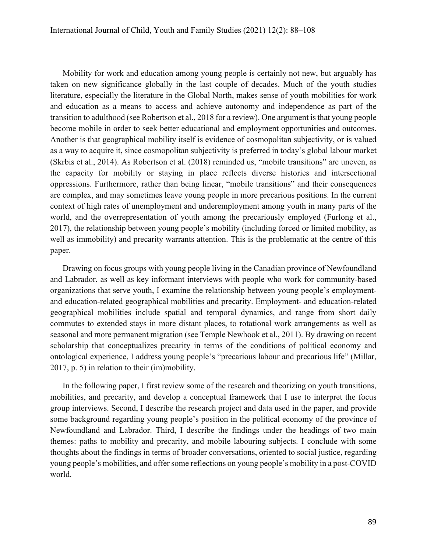Mobility for work and education among young people is certainly not new, but arguably has taken on new significance globally in the last couple of decades. Much of the youth studies literature, especially the literature in the Global North, makes sense of youth mobilities for work and education as a means to access and achieve autonomy and independence as part of the transition to adulthood (see Robertson et al., 2018 for a review). One argument is that young people become mobile in order to seek better educational and employment opportunities and outcomes. Another is that geographical mobility itself is evidence of cosmopolitan subjectivity, or is valued as a way to acquire it, since cosmopolitan subjectivity is preferred in today's global labour market (Skrbis et al., 2014). As Robertson et al. (2018) reminded us, "mobile transitions" are uneven, as the capacity for mobility or staying in place reflects diverse histories and intersectional oppressions. Furthermore, rather than being linear, "mobile transitions" and their consequences are complex, and may sometimes leave young people in more precarious positions. In the current context of high rates of unemployment and underemployment among youth in many parts of the world, and the overrepresentation of youth among the precariously employed (Furlong et al., 2017), the relationship between young people's mobility (including forced or limited mobility, as well as immobility) and precarity warrants attention. This is the problematic at the centre of this paper.

Drawing on focus groups with young people living in the Canadian province of Newfoundland and Labrador, as well as key informant interviews with people who work for community-based organizations that serve youth, I examine the relationship between young people's employmentand education-related geographical mobilities and precarity. Employment- and education-related geographical mobilities include spatial and temporal dynamics, and range from short daily commutes to extended stays in more distant places, to rotational work arrangements as well as seasonal and more permanent migration (see Temple Newhook et al., 2011). By drawing on recent scholarship that conceptualizes precarity in terms of the conditions of political economy and ontological experience, I address young people's "precarious labour and precarious life" (Millar, 2017, p. 5) in relation to their (im)mobility.

In the following paper, I first review some of the research and theorizing on youth transitions, mobilities, and precarity, and develop a conceptual framework that I use to interpret the focus group interviews. Second, I describe the research project and data used in the paper, and provide some background regarding young people's position in the political economy of the province of Newfoundland and Labrador. Third, I describe the findings under the headings of two main themes: paths to mobility and precarity, and mobile labouring subjects. I conclude with some thoughts about the findings in terms of broader conversations, oriented to social justice, regarding young people's mobilities, and offer some reflections on young people's mobility in a post-COVID world.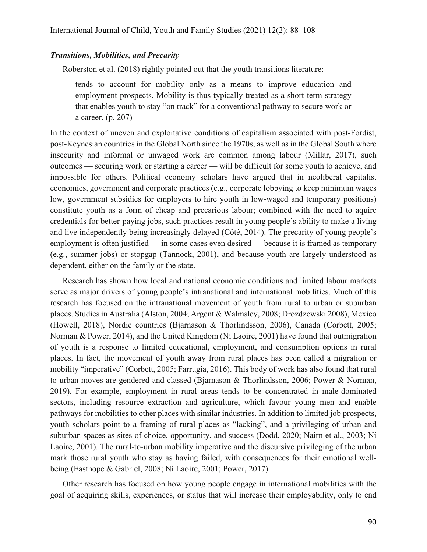#### *Transitions, Mobilities, and Precarity*

Roberston et al. (2018) rightly pointed out that the youth transitions literature:

tends to account for mobility only as a means to improve education and employment prospects. Mobility is thus typically treated as a short-term strategy that enables youth to stay "on track" for a conventional pathway to secure work or a career. (p. 207)

In the context of uneven and exploitative conditions of capitalism associated with post-Fordist, post-Keynesian countries in the Global North since the 1970s, as well as in the Global South where insecurity and informal or unwaged work are common among labour (Millar, 2017), such outcomes — securing work or starting a career — will be difficult for some youth to achieve, and impossible for others. Political economy scholars have argued that in neoliberal capitalist economies, government and corporate practices (e.g., corporate lobbying to keep minimum wages low, government subsidies for employers to hire youth in low-waged and temporary positions) constitute youth as a form of cheap and precarious labour; combined with the need to aquire credentials for better-paying jobs, such practices result in young people's ability to make a living and live independently being increasingly delayed (Côté, 2014). The precarity of young people's employment is often justified — in some cases even desired — because it is framed as temporary (e.g., summer jobs) or stopgap (Tannock, 2001), and because youth are largely understood as dependent, either on the family or the state.

Research has shown how local and national economic conditions and limited labour markets serve as major drivers of young people's intranational and international mobilities. Much of this research has focused on the intranational movement of youth from rural to urban or suburban places. Studies in Australia (Alston, 2004; Argent & Walmsley, 2008; Drozdzewski 2008), Mexico (Howell, 2018), Nordic countries (Bjarnason & Thorlindsson, 2006), Canada (Corbett, 2005; Norman & Power, 2014), and the United Kingdom (Ní Laoire, 2001) have found that outmigration of youth is a response to limited educational, employment, and consumption options in rural places. In fact, the movement of youth away from rural places has been called a migration or mobility "imperative" (Corbett, 2005; Farrugia, 2016). This body of work has also found that rural to urban moves are gendered and classed (Bjarnason & Thorlindsson, 2006; Power & Norman, 2019). For example, employment in rural areas tends to be concentrated in male-dominated sectors, including resource extraction and agriculture, which favour young men and enable pathways for mobilities to other places with similar industries. In addition to limited job prospects, youth scholars point to a framing of rural places as "lacking", and a privileging of urban and suburban spaces as sites of choice, opportunity, and success (Dodd, 2020; Nairn et al., 2003; Ní Laoire, 2001). The rural-to-urban mobility imperative and the discursive privileging of the urban mark those rural youth who stay as having failed, with consequences for their emotional wellbeing (Easthope & Gabriel, 2008; Ní Laoire, 2001; Power, 2017).

Other research has focused on how young people engage in international mobilities with the goal of acquiring skills, experiences, or status that will increase their employability, only to end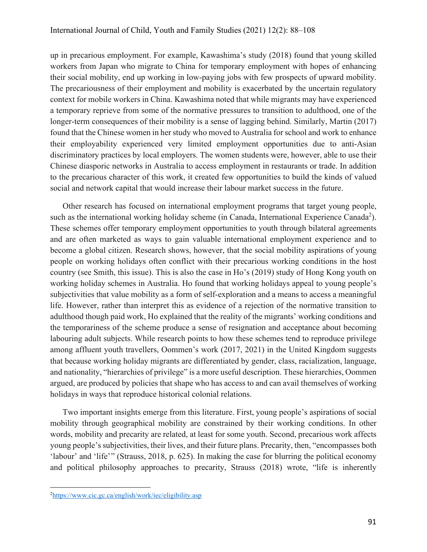up in precarious employment. For example, Kawashima's study (2018) found that young skilled workers from Japan who migrate to China for temporary employment with hopes of enhancing their social mobility, end up working in low-paying jobs with few prospects of upward mobility. The precariousness of their employment and mobility is exacerbated by the uncertain regulatory context for mobile workers in China. Kawashima noted that while migrants may have experienced a temporary reprieve from some of the normative pressures to transition to adulthood, one of the longer-term consequences of their mobility is a sense of lagging behind. Similarly, Martin (2017) found that the Chinese women in her study who moved to Australia for school and work to enhance their employability experienced very limited employment opportunities due to anti-Asian discriminatory practices by local employers. The women students were, however, able to use their Chinese diasporic networks in Australia to access employment in restaurants or trade. In addition to the precarious character of this work, it created few opportunities to build the kinds of valued social and network capital that would increase their labour market success in the future.

Other research has focused on international employment programs that target young people, such as the international working holiday scheme (in Canada, International Experience Canada<sup>2</sup>). These schemes offer temporary employment opportunities to youth through bilateral agreements and are often marketed as ways to gain valuable international employment experience and to become a global citizen. Research shows, however, that the social mobility aspirations of young people on working holidays often conflict with their precarious working conditions in the host country (see Smith, this issue). This is also the case in Ho's (2019) study of Hong Kong youth on working holiday schemes in Australia. Ho found that working holidays appeal to young people's subjectivities that value mobility as a form of self-exploration and a means to access a meaningful life. However, rather than interpret this as evidence of a rejection of the normative transition to adulthood though paid work, Ho explained that the reality of the migrants' working conditions and the temporariness of the scheme produce a sense of resignation and acceptance about becoming labouring adult subjects. While research points to how these schemes tend to reproduce privilege among affluent youth travellers, Oommen's work (2017, 2021) in the United Kingdom suggests that because working holiday migrants are differentiated by gender, class, racialization, language, and nationality, "hierarchies of privilege" is a more useful description. These hierarchies, Oommen argued, are produced by policies that shape who has access to and can avail themselves of working holidays in ways that reproduce historical colonial relations.

Two important insights emerge from this literature. First, young people's aspirations of social mobility through geographical mobility are constrained by their working conditions. In other words, mobility and precarity are related, at least for some youth. Second, precarious work affects young people's subjectivities, their lives, and their future plans. Precarity, then, "encompasses both 'labour' and 'life'" (Strauss, 2018, p. 625). In making the case for blurring the political economy and political philosophy approaches to precarity, Strauss (2018) wrote, "life is inherently

<sup>&</sup>lt;sup>2</sup>https://www.cic.gc.ca/english/work/iec/eligibility.asp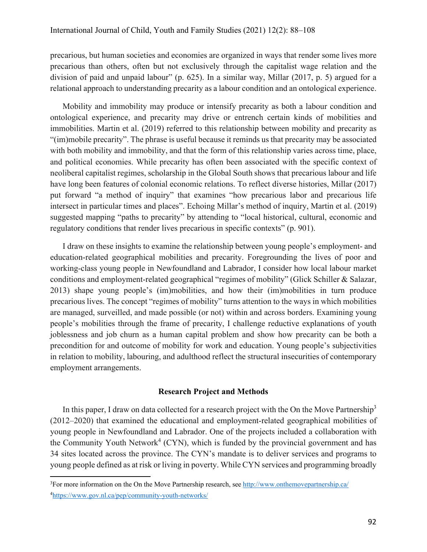precarious, but human societies and economies are organized in ways that render some lives more precarious than others, often but not exclusively through the capitalist wage relation and the division of paid and unpaid labour" (p. 625). In a similar way, Millar (2017, p. 5) argued for a relational approach to understanding precarity as a labour condition and an ontological experience.

Mobility and immobility may produce or intensify precarity as both a labour condition and ontological experience, and precarity may drive or entrench certain kinds of mobilities and immobilities. Martin et al. (2019) referred to this relationship between mobility and precarity as "(im)mobile precarity". The phrase is useful because it reminds us that precarity may be associated with both mobility and immobility, and that the form of this relationship varies across time, place, and political economies. While precarity has often been associated with the specific context of neoliberal capitalist regimes, scholarship in the Global South shows that precarious labour and life have long been features of colonial economic relations. To reflect diverse histories, Millar (2017) put forward "a method of inquiry" that examines "how precarious labor and precarious life intersect in particular times and places". Echoing Millar's method of inquiry, Martin et al. (2019) suggested mapping "paths to precarity" by attending to "local historical, cultural, economic and regulatory conditions that render lives precarious in specific contexts" (p. 901).

I draw on these insights to examine the relationship between young people's employment- and education-related geographical mobilities and precarity. Foregrounding the lives of poor and working-class young people in Newfoundland and Labrador, I consider how local labour market conditions and employment-related geographical "regimes of mobility" (Glick Schiller & Salazar, 2013) shape young people's (im)mobilities, and how their (im)mobilities in turn produce precarious lives. The concept "regimes of mobility" turns attention to the ways in which mobilities are managed, surveilled, and made possible (or not) within and across borders. Examining young people's mobilities through the frame of precarity, I challenge reductive explanations of youth joblessness and job churn as a human capital problem and show how precarity can be both a precondition for and outcome of mobility for work and education. Young people's subjectivities in relation to mobility, labouring, and adulthood reflect the structural insecurities of contemporary employment arrangements.

#### **Research Project and Methods**

In this paper, I draw on data collected for a research project with the On the Move Partnership<sup>3</sup> (2012–2020) that examined the educational and employment-related geographical mobilities of young people in Newfoundland and Labrador. One of the projects included a collaboration with the Community Youth Network<sup>4</sup> (CYN), which is funded by the provincial government and has 34 sites located across the province. The CYN's mandate is to deliver services and programs to young people defined as at risk or living in poverty. While CYN services and programming broadly

<sup>&</sup>lt;sup>3</sup> For more information on the On the Move Partnership research, see http://www.onthemovepartnership.ca/ 4 https://www.gov.nl.ca/pep/community-youth-networks/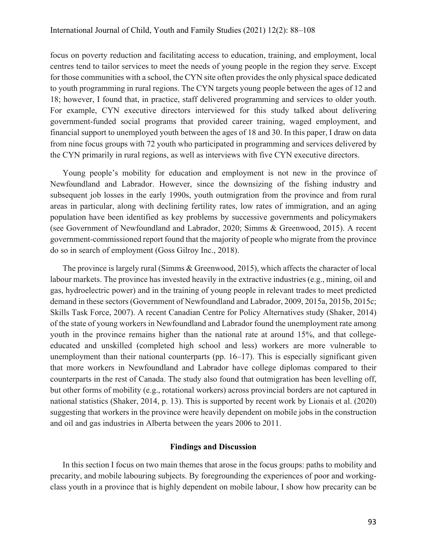focus on poverty reduction and facilitating access to education, training, and employment, local centres tend to tailor services to meet the needs of young people in the region they serve. Except for those communities with a school, the CYN site often provides the only physical space dedicated to youth programming in rural regions. The CYN targets young people between the ages of 12 and 18; however, I found that, in practice, staff delivered programming and services to older youth. For example, CYN executive directors interviewed for this study talked about delivering government-funded social programs that provided career training, waged employment, and financial support to unemployed youth between the ages of 18 and 30. In this paper, I draw on data from nine focus groups with 72 youth who participated in programming and services delivered by the CYN primarily in rural regions, as well as interviews with five CYN executive directors.

Young people's mobility for education and employment is not new in the province of Newfoundland and Labrador. However, since the downsizing of the fishing industry and subsequent job losses in the early 1990s, youth outmigration from the province and from rural areas in particular, along with declining fertility rates, low rates of immigration, and an aging population have been identified as key problems by successive governments and policymakers (see Government of Newfoundland and Labrador, 2020; Simms & Greenwood, 2015). A recent government-commissioned report found that the majority of people who migrate from the province do so in search of employment (Goss Gilroy Inc., 2018).

The province is largely rural (Simms & Greenwood, 2015), which affects the character of local labour markets. The province has invested heavily in the extractive industries (e.g., mining, oil and gas, hydroelectric power) and in the training of young people in relevant trades to meet predicted demand in these sectors (Government of Newfoundland and Labrador, 2009, 2015a, 2015b, 2015c; Skills Task Force, 2007). A recent Canadian Centre for Policy Alternatives study (Shaker, 2014) of the state of young workers in Newfoundland and Labrador found the unemployment rate among youth in the province remains higher than the national rate at around 15%, and that collegeeducated and unskilled (completed high school and less) workers are more vulnerable to unemployment than their national counterparts (pp. 16–17). This is especially significant given that more workers in Newfoundland and Labrador have college diplomas compared to their counterparts in the rest of Canada. The study also found that outmigration has been levelling off, but other forms of mobility (e.g., rotational workers) across provincial borders are not captured in national statistics (Shaker, 2014, p. 13). This is supported by recent work by Lionais et al. (2020) suggesting that workers in the province were heavily dependent on mobile jobs in the construction and oil and gas industries in Alberta between the years 2006 to 2011.

## **Findings and Discussion**

In this section I focus on two main themes that arose in the focus groups: paths to mobility and precarity, and mobile labouring subjects. By foregrounding the experiences of poor and workingclass youth in a province that is highly dependent on mobile labour, I show how precarity can be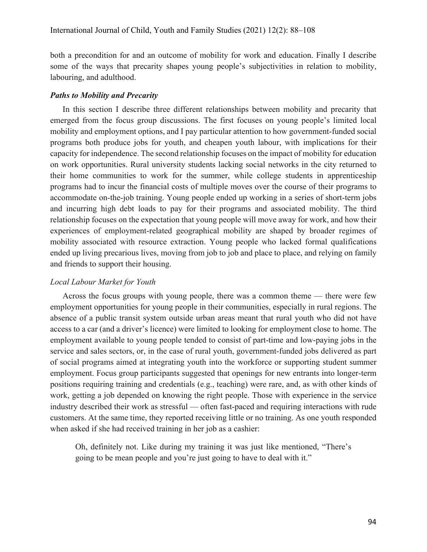both a precondition for and an outcome of mobility for work and education. Finally I describe some of the ways that precarity shapes young people's subjectivities in relation to mobility, labouring, and adulthood.

# *Paths to Mobility and Precarity*

In this section I describe three different relationships between mobility and precarity that emerged from the focus group discussions. The first focuses on young people's limited local mobility and employment options, and I pay particular attention to how government-funded social programs both produce jobs for youth, and cheapen youth labour, with implications for their capacity for independence. The second relationship focuses on the impact of mobility for education on work opportunities. Rural university students lacking social networks in the city returned to their home communities to work for the summer, while college students in apprenticeship programs had to incur the financial costs of multiple moves over the course of their programs to accommodate on-the-job training. Young people ended up working in a series of short-term jobs and incurring high debt loads to pay for their programs and associated mobility. The third relationship focuses on the expectation that young people will move away for work, and how their experiences of employment-related geographical mobility are shaped by broader regimes of mobility associated with resource extraction. Young people who lacked formal qualifications ended up living precarious lives, moving from job to job and place to place, and relying on family and friends to support their housing.

# *Local Labour Market for Youth*

Across the focus groups with young people, there was a common theme — there were few employment opportunities for young people in their communities, especially in rural regions. The absence of a public transit system outside urban areas meant that rural youth who did not have access to a car (and a driver's licence) were limited to looking for employment close to home. The employment available to young people tended to consist of part-time and low-paying jobs in the service and sales sectors, or, in the case of rural youth, government-funded jobs delivered as part of social programs aimed at integrating youth into the workforce or supporting student summer employment. Focus group participants suggested that openings for new entrants into longer-term positions requiring training and credentials (e.g., teaching) were rare, and, as with other kinds of work, getting a job depended on knowing the right people. Those with experience in the service industry described their work as stressful — often fast-paced and requiring interactions with rude customers. At the same time, they reported receiving little or no training. As one youth responded when asked if she had received training in her job as a cashier:

Oh, definitely not. Like during my training it was just like mentioned, "There's going to be mean people and you're just going to have to deal with it."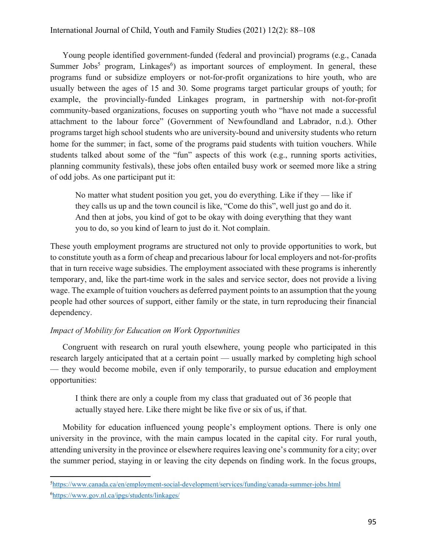Young people identified government-funded (federal and provincial) programs (e.g., Canada Summer Jobs<sup>5</sup> program, Linkages<sup>6</sup>) as important sources of employment. In general, these programs fund or subsidize employers or not-for-profit organizations to hire youth, who are usually between the ages of 15 and 30. Some programs target particular groups of youth; for example, the provincially-funded Linkages program, in partnership with not-for-profit community-based organizations, focuses on supporting youth who "have not made a successful attachment to the labour force" (Government of Newfoundland and Labrador, n.d.). Other programs target high school students who are university-bound and university students who return home for the summer; in fact, some of the programs paid students with tuition vouchers. While students talked about some of the "fun" aspects of this work (e.g., running sports activities, planning community festivals), these jobs often entailed busy work or seemed more like a string of odd jobs. As one participant put it:

No matter what student position you get, you do everything. Like if they — like if they calls us up and the town council is like, "Come do this", well just go and do it. And then at jobs, you kind of got to be okay with doing everything that they want you to do, so you kind of learn to just do it. Not complain.

These youth employment programs are structured not only to provide opportunities to work, but to constitute youth as a form of cheap and precarious labour for local employers and not-for-profits that in turn receive wage subsidies. The employment associated with these programs is inherently temporary, and, like the part-time work in the sales and service sector, does not provide a living wage. The example of tuition vouchers as deferred payment points to an assumption that the young people had other sources of support, either family or the state, in turn reproducing their financial dependency.

# *Impact of Mobility for Education on Work Opportunities*

Congruent with research on rural youth elsewhere, young people who participated in this research largely anticipated that at a certain point — usually marked by completing high school — they would become mobile, even if only temporarily, to pursue education and employment opportunities:

I think there are only a couple from my class that graduated out of 36 people that actually stayed here. Like there might be like five or six of us, if that.

Mobility for education influenced young people's employment options. There is only one university in the province, with the main campus located in the capital city. For rural youth, attending university in the province or elsewhere requires leaving one's community for a city; over the summer period, staying in or leaving the city depends on finding work. In the focus groups,

<sup>&</sup>lt;sup>5</sup>https://www.canada.ca/en/employment-social-development/services/funding/canada-summer-jobs.html 6 https://www.gov.nl.ca/ipgs/students/linkages/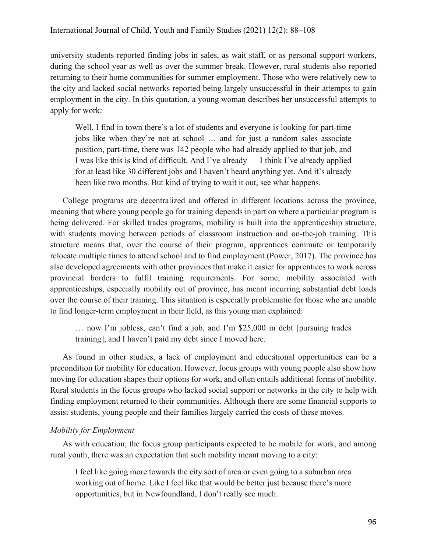university students reported finding jobs in sales, as wait staff, or as personal support workers, during the school year as well as over the summer break. However, rural students also reported returning to their home communities for summer employment. Those who were relatively new to the city and lacked social networks reported being largely unsuccessful in their attempts to gain employment in the city. In this quotation, a young woman describes her unsuccessful attempts to apply for work:

Well, I find in town there's a lot of students and everyone is looking for part-time jobs like when they're not at school … and for just a random sales associate position, part-time, there was 142 people who had already applied to that job, and I was like this is kind of difficult. And I've already — I think I've already applied for at least like 30 different jobs and I haven't heard anything yet. And it's already been like two months. But kind of trying to wait it out, see what happens.

College programs are decentralized and offered in different locations across the province, meaning that where young people go for training depends in part on where a particular program is being delivered. For skilled trades programs, mobility is built into the apprenticeship structure, with students moving between periods of classroom instruction and on-the-job training. This structure means that, over the course of their program, apprentices commute or temporarily relocate multiple times to attend school and to find employment (Power, 2017). The province has also developed agreements with other provinces that make it easier for apprentices to work across provincial borders to fulfil training requirements. For some, mobility associated with apprenticeships, especially mobility out of province, has meant incurring substantial debt loads over the course of their training. This situation is especially problematic for those who are unable to find longer-term employment in their field, as this young man explained:

… now I'm jobless, can't find a job, and I'm \$25,000 in debt [pursuing trades training], and I haven't paid my debt since I moved here.

As found in other studies, a lack of employment and educational opportunities can be a precondition for mobility for education. However, focus groups with young people also show how moving for education shapes their options for work, and often entails additional forms of mobility. Rural students in the focus groups who lacked social support or networks in the city to help with finding employment returned to their communities. Although there are some financial supports to assist students, young people and their families largely carried the costs of these moves.

### *Mobility for Employment*

As with education, the focus group participants expected to be mobile for work, and among rural youth, there was an expectation that such mobility meant moving to a city:

I feel like going more towards the city sort of area or even going to a suburban area working out of home. Like I feel like that would be better just because there's more opportunities, but in Newfoundland, I don't really see much.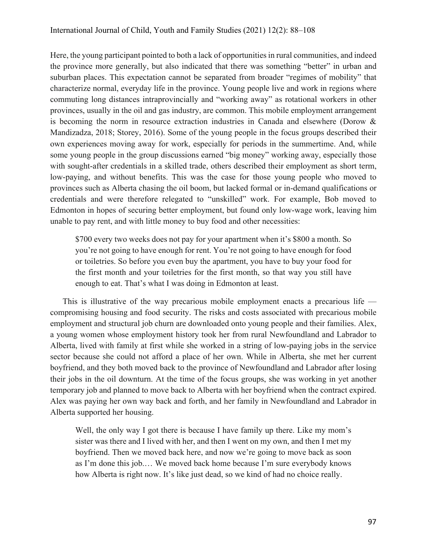Here, the young participant pointed to both a lack of opportunities in rural communities, and indeed the province more generally, but also indicated that there was something "better" in urban and suburban places. This expectation cannot be separated from broader "regimes of mobility" that characterize normal, everyday life in the province. Young people live and work in regions where commuting long distances intraprovincially and "working away" as rotational workers in other provinces, usually in the oil and gas industry, are common. This mobile employment arrangement is becoming the norm in resource extraction industries in Canada and elsewhere (Dorow & Mandizadza, 2018; Storey, 2016). Some of the young people in the focus groups described their own experiences moving away for work, especially for periods in the summertime. And, while some young people in the group discussions earned "big money" working away, especially those with sought-after credentials in a skilled trade, others described their employment as short term, low-paying, and without benefits. This was the case for those young people who moved to provinces such as Alberta chasing the oil boom, but lacked formal or in-demand qualifications or credentials and were therefore relegated to "unskilled" work. For example, Bob moved to Edmonton in hopes of securing better employment, but found only low-wage work, leaving him unable to pay rent, and with little money to buy food and other necessities:

\$700 every two weeks does not pay for your apartment when it's \$800 a month. So you're not going to have enough for rent. You're not going to have enough for food or toiletries. So before you even buy the apartment, you have to buy your food for the first month and your toiletries for the first month, so that way you still have enough to eat. That's what I was doing in Edmonton at least.

This is illustrative of the way precarious mobile employment enacts a precarious life compromising housing and food security. The risks and costs associated with precarious mobile employment and structural job churn are downloaded onto young people and their families. Alex, a young women whose employment history took her from rural Newfoundland and Labrador to Alberta, lived with family at first while she worked in a string of low-paying jobs in the service sector because she could not afford a place of her own. While in Alberta, she met her current boyfriend, and they both moved back to the province of Newfoundland and Labrador after losing their jobs in the oil downturn. At the time of the focus groups, she was working in yet another temporary job and planned to move back to Alberta with her boyfriend when the contract expired. Alex was paying her own way back and forth, and her family in Newfoundland and Labrador in Alberta supported her housing.

Well, the only way I got there is because I have family up there. Like my mom's sister was there and I lived with her, and then I went on my own, and then I met my boyfriend. Then we moved back here, and now we're going to move back as soon as I'm done this job.… We moved back home because I'm sure everybody knows how Alberta is right now. It's like just dead, so we kind of had no choice really.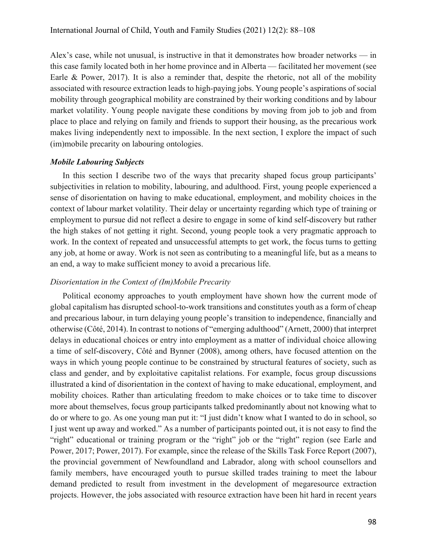Alex's case, while not unusual, is instructive in that it demonstrates how broader networks — in this case family located both in her home province and in Alberta — facilitated her movement (see Earle & Power, 2017). It is also a reminder that, despite the rhetoric, not all of the mobility associated with resource extraction leads to high-paying jobs. Young people's aspirations of social mobility through geographical mobility are constrained by their working conditions and by labour market volatility. Young people navigate these conditions by moving from job to job and from place to place and relying on family and friends to support their housing, as the precarious work makes living independently next to impossible. In the next section, I explore the impact of such (im)mobile precarity on labouring ontologies.

#### *Mobile Labouring Subjects*

In this section I describe two of the ways that precarity shaped focus group participants' subjectivities in relation to mobility, labouring, and adulthood. First, young people experienced a sense of disorientation on having to make educational, employment, and mobility choices in the context of labour market volatility. Their delay or uncertainty regarding which type of training or employment to pursue did not reflect a desire to engage in some of kind self-discovery but rather the high stakes of not getting it right. Second, young people took a very pragmatic approach to work. In the context of repeated and unsuccessful attempts to get work, the focus turns to getting any job, at home or away. Work is not seen as contributing to a meaningful life, but as a means to an end, a way to make sufficient money to avoid a precarious life.

### *Disorientation in the Context of (Im)Mobile Precarity*

Political economy approaches to youth employment have shown how the current mode of global capitalism has disrupted school-to-work transitions and constitutes youth as a form of cheap and precarious labour, in turn delaying young people's transition to independence, financially and otherwise (Côté, 2014). In contrast to notions of "emerging adulthood" (Arnett, 2000) that interpret delays in educational choices or entry into employment as a matter of individual choice allowing a time of self-discovery, Côté and Bynner (2008), among others, have focused attention on the ways in which young people continue to be constrained by structural features of society, such as class and gender, and by exploitative capitalist relations. For example, focus group discussions illustrated a kind of disorientation in the context of having to make educational, employment, and mobility choices. Rather than articulating freedom to make choices or to take time to discover more about themselves, focus group participants talked predominantly about not knowing what to do or where to go. As one young man put it: "I just didn't know what I wanted to do in school, so I just went up away and worked." As a number of participants pointed out, it is not easy to find the "right" educational or training program or the "right" job or the "right" region (see Earle and Power, 2017; Power, 2017). For example, since the release of the Skills Task Force Report (2007), the provincial government of Newfoundland and Labrador, along with school counsellors and family members, have encouraged youth to pursue skilled trades training to meet the labour demand predicted to result from investment in the development of megaresource extraction projects. However, the jobs associated with resource extraction have been hit hard in recent years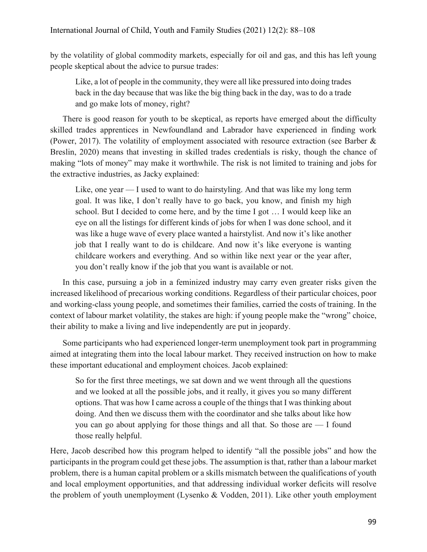by the volatility of global commodity markets, especially for oil and gas, and this has left young people skeptical about the advice to pursue trades:

Like, a lot of people in the community, they were all like pressured into doing trades back in the day because that was like the big thing back in the day, was to do a trade and go make lots of money, right?

There is good reason for youth to be skeptical, as reports have emerged about the difficulty skilled trades apprentices in Newfoundland and Labrador have experienced in finding work (Power, 2017). The volatility of employment associated with resource extraction (see Barber & Breslin, 2020) means that investing in skilled trades credentials is risky, though the chance of making "lots of money" may make it worthwhile. The risk is not limited to training and jobs for the extractive industries, as Jacky explained:

Like, one year — I used to want to do hairstyling. And that was like my long term goal. It was like, I don't really have to go back, you know, and finish my high school. But I decided to come here, and by the time I got … I would keep like an eye on all the listings for different kinds of jobs for when I was done school, and it was like a huge wave of every place wanted a hairstylist. And now it's like another job that I really want to do is childcare. And now it's like everyone is wanting childcare workers and everything. And so within like next year or the year after, you don't really know if the job that you want is available or not.

In this case, pursuing a job in a feminized industry may carry even greater risks given the increased likelihood of precarious working conditions. Regardless of their particular choices, poor and working-class young people, and sometimes their families, carried the costs of training. In the context of labour market volatility, the stakes are high: if young people make the "wrong" choice, their ability to make a living and live independently are put in jeopardy.

Some participants who had experienced longer-term unemployment took part in programming aimed at integrating them into the local labour market. They received instruction on how to make these important educational and employment choices. Jacob explained:

So for the first three meetings, we sat down and we went through all the questions and we looked at all the possible jobs, and it really, it gives you so many different options. That was how I came across a couple of the things that I was thinking about doing. And then we discuss them with the coordinator and she talks about like how you can go about applying for those things and all that. So those are — I found those really helpful.

Here, Jacob described how this program helped to identify "all the possible jobs" and how the participants in the program could get these jobs. The assumption is that, rather than a labour market problem, there is a human capital problem or a skills mismatch between the qualifications of youth and local employment opportunities, and that addressing individual worker deficits will resolve the problem of youth unemployment (Lysenko & Vodden, 2011). Like other youth employment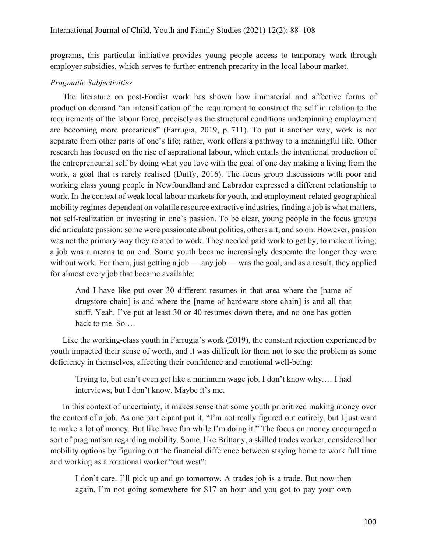programs, this particular initiative provides young people access to temporary work through employer subsidies, which serves to further entrench precarity in the local labour market.

#### *Pragmatic Subjectivities*

The literature on post-Fordist work has shown how immaterial and affective forms of production demand "an intensification of the requirement to construct the self in relation to the requirements of the labour force, precisely as the structural conditions underpinning employment are becoming more precarious" (Farrugia, 2019, p. 711). To put it another way, work is not separate from other parts of one's life; rather, work offers a pathway to a meaningful life. Other research has focused on the rise of aspirational labour, which entails the intentional production of the entrepreneurial self by doing what you love with the goal of one day making a living from the work, a goal that is rarely realised (Duffy, 2016). The focus group discussions with poor and working class young people in Newfoundland and Labrador expressed a different relationship to work. In the context of weak local labour markets for youth, and employment-related geographical mobility regimes dependent on volatile resource extractive industries, finding a job is what matters, not self-realization or investing in one's passion. To be clear, young people in the focus groups did articulate passion: some were passionate about politics, others art, and so on. However, passion was not the primary way they related to work. They needed paid work to get by, to make a living; a job was a means to an end. Some youth became increasingly desperate the longer they were without work. For them, just getting a job — any job — was the goal, and as a result, they applied for almost every job that became available:

And I have like put over 30 different resumes in that area where the [name of drugstore chain] is and where the [name of hardware store chain] is and all that stuff. Yeah. I've put at least 30 or 40 resumes down there, and no one has gotten back to me. So …

Like the working-class youth in Farrugia's work (2019), the constant rejection experienced by youth impacted their sense of worth, and it was difficult for them not to see the problem as some deficiency in themselves, affecting their confidence and emotional well-being:

Trying to, but can't even get like a minimum wage job. I don't know why.… I had interviews, but I don't know. Maybe it's me.

In this context of uncertainty, it makes sense that some youth prioritized making money over the content of a job. As one participant put it, "I'm not really figured out entirely, but I just want to make a lot of money. But like have fun while I'm doing it." The focus on money encouraged a sort of pragmatism regarding mobility. Some, like Brittany, a skilled trades worker, considered her mobility options by figuring out the financial difference between staying home to work full time and working as a rotational worker "out west":

I don't care. I'll pick up and go tomorrow. A trades job is a trade. But now then again, I'm not going somewhere for \$17 an hour and you got to pay your own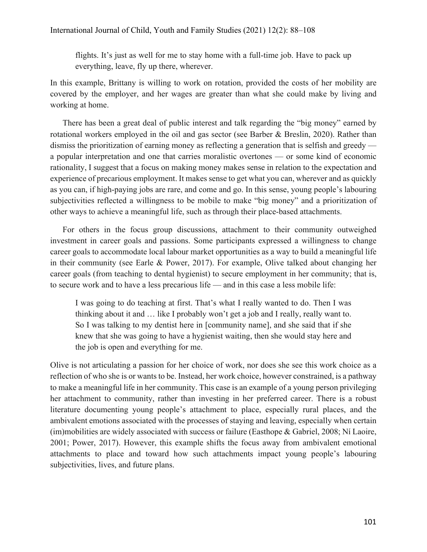flights. It's just as well for me to stay home with a full-time job. Have to pack up everything, leave, fly up there, wherever.

In this example, Brittany is willing to work on rotation, provided the costs of her mobility are covered by the employer, and her wages are greater than what she could make by living and working at home.

There has been a great deal of public interest and talk regarding the "big money" earned by rotational workers employed in the oil and gas sector (see Barber & Breslin, 2020). Rather than dismiss the prioritization of earning money as reflecting a generation that is selfish and greedy a popular interpretation and one that carries moralistic overtones — or some kind of economic rationality, I suggest that a focus on making money makes sense in relation to the expectation and experience of precarious employment. It makes sense to get what you can, wherever and as quickly as you can, if high-paying jobs are rare, and come and go. In this sense, young people's labouring subjectivities reflected a willingness to be mobile to make "big money" and a prioritization of other ways to achieve a meaningful life, such as through their place-based attachments.

For others in the focus group discussions, attachment to their community outweighed investment in career goals and passions. Some participants expressed a willingness to change career goals to accommodate local labour market opportunities as a way to build a meaningful life in their community (see Earle & Power, 2017). For example, Olive talked about changing her career goals (from teaching to dental hygienist) to secure employment in her community; that is, to secure work and to have a less precarious life — and in this case a less mobile life:

I was going to do teaching at first. That's what I really wanted to do. Then I was thinking about it and … like I probably won't get a job and I really, really want to. So I was talking to my dentist here in [community name], and she said that if she knew that she was going to have a hygienist waiting, then she would stay here and the job is open and everything for me.

Olive is not articulating a passion for her choice of work, nor does she see this work choice as a reflection of who she is or wants to be. Instead, her work choice, however constrained, is a pathway to make a meaningful life in her community. This case is an example of a young person privileging her attachment to community, rather than investing in her preferred career. There is a robust literature documenting young people's attachment to place, especially rural places, and the ambivalent emotions associated with the processes of staying and leaving, especially when certain (im)mobilities are widely associated with success or failure (Easthope & Gabriel, 2008; Ní Laoire, 2001; Power, 2017). However, this example shifts the focus away from ambivalent emotional attachments to place and toward how such attachments impact young people's labouring subjectivities, lives, and future plans.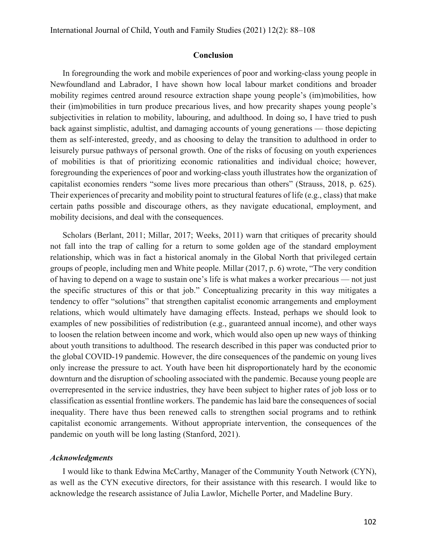#### **Conclusion**

In foregrounding the work and mobile experiences of poor and working-class young people in Newfoundland and Labrador, I have shown how local labour market conditions and broader mobility regimes centred around resource extraction shape young people's (im)mobilities, how their (im)mobilities in turn produce precarious lives, and how precarity shapes young people's subjectivities in relation to mobility, labouring, and adulthood. In doing so, I have tried to push back against simplistic, adultist, and damaging accounts of young generations — those depicting them as self-interested, greedy, and as choosing to delay the transition to adulthood in order to leisurely pursue pathways of personal growth. One of the risks of focusing on youth experiences of mobilities is that of prioritizing economic rationalities and individual choice; however, foregrounding the experiences of poor and working-class youth illustrates how the organization of capitalist economies renders "some lives more precarious than others" (Strauss, 2018, p. 625). Their experiences of precarity and mobility point to structural features of life (e.g., class) that make certain paths possible and discourage others, as they navigate educational, employment, and mobility decisions, and deal with the consequences.

Scholars (Berlant, 2011; Millar, 2017; Weeks, 2011) warn that critiques of precarity should not fall into the trap of calling for a return to some golden age of the standard employment relationship, which was in fact a historical anomaly in the Global North that privileged certain groups of people, including men and White people. Millar (2017, p. 6) wrote, "The very condition of having to depend on a wage to sustain one's life is what makes a worker precarious — not just the specific structures of this or that job." Conceptualizing precarity in this way mitigates a tendency to offer "solutions" that strengthen capitalist economic arrangements and employment relations, which would ultimately have damaging effects. Instead, perhaps we should look to examples of new possibilities of redistribution (e.g., guaranteed annual income), and other ways to loosen the relation between income and work, which would also open up new ways of thinking about youth transitions to adulthood. The research described in this paper was conducted prior to the global COVID-19 pandemic. However, the dire consequences of the pandemic on young lives only increase the pressure to act. Youth have been hit disproportionately hard by the economic downturn and the disruption of schooling associated with the pandemic. Because young people are overrepresented in the service industries, they have been subject to higher rates of job loss or to classification as essential frontline workers. The pandemic has laid bare the consequences of social inequality. There have thus been renewed calls to strengthen social programs and to rethink capitalist economic arrangements. Without appropriate intervention, the consequences of the pandemic on youth will be long lasting (Stanford, 2021).

#### *Acknowledgments*

I would like to thank Edwina McCarthy, Manager of the Community Youth Network (CYN), as well as the CYN executive directors, for their assistance with this research. I would like to acknowledge the research assistance of Julia Lawlor, Michelle Porter, and Madeline Bury.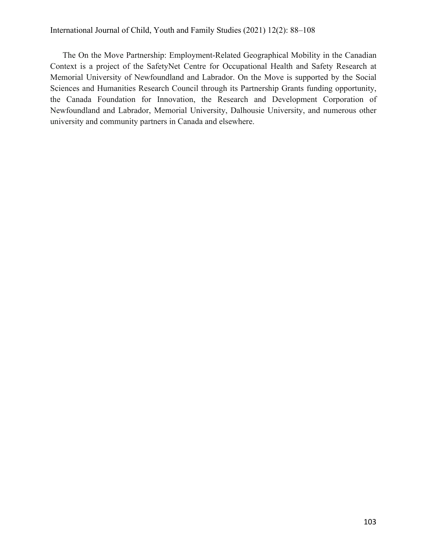# International Journal of Child, Youth and Family Studies (2021) 12(2): 88–108

The On the Move Partnership: Employment-Related Geographical Mobility in the Canadian Context is a project of the SafetyNet Centre for Occupational Health and Safety Research at Memorial University of Newfoundland and Labrador. On the Move is supported by the Social Sciences and Humanities Research Council through its Partnership Grants funding opportunity, the Canada Foundation for Innovation, the Research and Development Corporation of Newfoundland and Labrador, Memorial University, Dalhousie University, and numerous other university and community partners in Canada and elsewhere.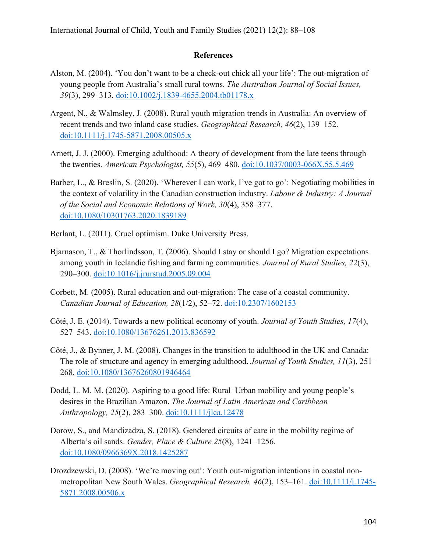# **References**

- Alston, M. (2004). 'You don't want to be a check-out chick all your life': The out-migration of young people from Australia's small rural towns. *The Australian Journal of Social Issues, 39*(3), 299–313. doi:10.1002/j.1839-4655.2004.tb01178.x
- Argent, N., & Walmsley, J. (2008). Rural youth migration trends in Australia: An overview of recent trends and two inland case studies. *Geographical Research, 46*(2), 139–152. doi:10.1111/j.1745-5871.2008.00505.x
- Arnett, J. J. (2000). Emerging adulthood: A theory of development from the late teens through the twenties. *American Psychologist, 55*(5), 469–480. doi:10.1037/0003-066X.55.5.469
- Barber, L., & Breslin, S. (2020). 'Wherever I can work, I've got to go': Negotiating mobilities in the context of volatility in the Canadian construction industry. *Labour & Industry: A Journal of the Social and Economic Relations of Work, 30*(4), 358–377. doi:10.1080/10301763.2020.1839189
- Berlant, L. (2011). Cruel optimism. Duke University Press.
- Bjarnason, T., & Thorlindsson, T. (2006). Should I stay or should I go? Migration expectations among youth in Icelandic fishing and farming communities. *Journal of Rural Studies, 22*(3), 290–300. doi:10.1016/j.jrurstud.2005.09.004
- Corbett, M. (2005). Rural education and out-migration: The case of a coastal community. *Canadian Journal of Education, 28*(1/2), 52–72. doi:10.2307/1602153
- Côté, J. E. (2014). Towards a new political economy of youth. *Journal of Youth Studies, 17*(4), 527–543. doi:10.1080/13676261.2013.836592
- Côté, J., & Bynner, J. M. (2008). Changes in the transition to adulthood in the UK and Canada: The role of structure and agency in emerging adulthood. *Journal of Youth Studies, 11*(3), 251– 268. doi:10.1080/13676260801946464
- Dodd, L. M. M. (2020). Aspiring to a good life: Rural–Urban mobility and young people's desires in the Brazilian Amazon. *The Journal of Latin American and Caribbean Anthropology, 25*(2), 283–300. doi:10.1111/jlca.12478
- Dorow, S., and Mandizadza, S. (2018). Gendered circuits of care in the mobility regime of Alberta's oil sands. *Gender, Place & Culture 25*(8), 1241–1256. doi:10.1080/0966369X.2018.1425287
- Drozdzewski, D. (2008). 'We're moving out': Youth out-migration intentions in coastal nonmetropolitan New South Wales. *Geographical Research, 46*(2), 153–161. doi:10.1111/j.1745- 5871.2008.00506.x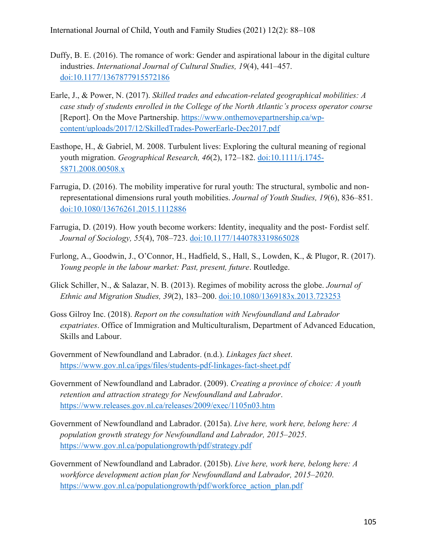- Duffy, B. E. (2016). The romance of work: Gender and aspirational labour in the digital culture industries. *International Journal of Cultural Studies, 19*(4), 441–457. doi:10.1177/1367877915572186
- Earle, J., & Power, N. (2017). *Skilled trades and education-related geographical mobilities: A case study of students enrolled in the College of the North Atlantic's process operator course* [Report]. On the Move Partnership. https://www.onthemovepartnership.ca/wpcontent/uploads/2017/12/SkilledTrades-PowerEarle-Dec2017.pdf
- Easthope, H., & Gabriel, M. 2008. Turbulent lives: Exploring the cultural meaning of regional youth migration. *Geographical Research, 46*(2), 172–182. doi:10.1111/j.1745- 5871.2008.00508.x
- Farrugia, D. (2016). The mobility imperative for rural youth: The structural, symbolic and nonrepresentational dimensions rural youth mobilities. *Journal of Youth Studies, 19*(6), 836–851. doi:10.1080/13676261.2015.1112886
- Farrugia, D. (2019). How youth become workers: Identity, inequality and the post- Fordist self. *Journal of Sociology, 55*(4), 708–723. doi:10.1177/1440783319865028
- Furlong, A., Goodwin, J., O'Connor, H., Hadfield, S., Hall, S., Lowden, K., & Plugor, R. (2017). *Young people in the labour market: Past, present, future*. Routledge.
- Glick Schiller, N., & Salazar, N. B. (2013). Regimes of mobility across the globe. *Journal of Ethnic and Migration Studies, 39*(2), 183–200. doi:10.1080/1369183x.2013.723253
- Goss Gilroy Inc. (2018). *Report on the consultation with Newfoundland and Labrador expatriates*. Office of Immigration and Multiculturalism, Department of Advanced Education, Skills and Labour.
- Government of Newfoundland and Labrador. (n.d.). *Linkages fact sheet*. https://www.gov.nl.ca/ipgs/files/students-pdf-linkages-fact-sheet.pdf
- Government of Newfoundland and Labrador. (2009). *Creating a province of choice: A youth retention and attraction strategy for Newfoundland and Labrador*. https://www.releases.gov.nl.ca/releases/2009/exec/1105n03.htm
- Government of Newfoundland and Labrador. (2015a). *Live here, work here, belong here: A population growth strategy for Newfoundland and Labrador, 2015–2025*. https://www.gov.nl.ca/populationgrowth/pdf/strategy.pdf
- Government of Newfoundland and Labrador. (2015b). *Live here, work here, belong here: A workforce development action plan for Newfoundland and Labrador, 2015–2020*. https://www.gov.nl.ca/populationgrowth/pdf/workforce\_action\_plan.pdf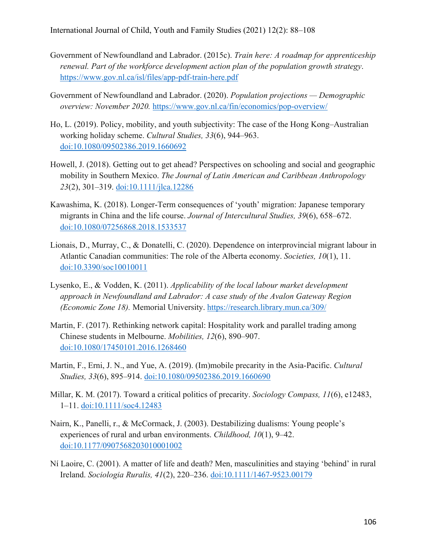- Government of Newfoundland and Labrador. (2015c). *Train here: A roadmap for apprenticeship renewal. Part of the workforce development action plan of the population growth strategy*. https://www.gov.nl.ca/isl/files/app-pdf-train-here.pdf
- Government of Newfoundland and Labrador. (2020). *Population projections Demographic overview: November 2020.* https://www.gov.nl.ca/fin/economics/pop-overview/
- Ho, L. (2019). Policy, mobility, and youth subjectivity: The case of the Hong Kong–Australian working holiday scheme. *Cultural Studies, 33*(6), 944–963. doi:10.1080/09502386.2019.1660692
- Howell, J. (2018). Getting out to get ahead? Perspectives on schooling and social and geographic mobility in Southern Mexico. *The Journal of Latin American and Caribbean Anthropology 23*(2), 301–319. doi:10.1111/jlca.12286
- Kawashima, K. (2018). Longer-Term consequences of 'youth' migration: Japanese temporary migrants in China and the life course. *Journal of Intercultural Studies, 39*(6), 658–672. doi:10.1080/07256868.2018.1533537
- Lionais, D., Murray, C., & Donatelli, C. (2020). Dependence on interprovincial migrant labour in Atlantic Canadian communities: The role of the Alberta economy. *Societies, 10*(1), 11. doi:10.3390/soc10010011
- Lysenko, E., & Vodden, K. (2011). *Applicability of the local labour market development approach in Newfoundland and Labrador: A case study of the Avalon Gateway Region (Economic Zone 18).* Memorial University. https://research.library.mun.ca/309/
- Martin, F. (2017). Rethinking network capital: Hospitality work and parallel trading among Chinese students in Melbourne. *Mobilities, 12*(6), 890–907. doi:10.1080/17450101.2016.1268460
- Martin, F., Erni, J. N., and Yue, A. (2019). (Im)mobile precarity in the Asia-Pacific. *Cultural Studies, 33*(6), 895–914. doi:10.1080/09502386.2019.1660690
- Millar, K. M. (2017). Toward a critical politics of precarity. *Sociology Compass, 11*(6), e12483, 1–11. doi:10.1111/soc4.12483
- Nairn, K., Panelli, r., & McCormack, J. (2003). Destabilizing dualisms: Young people's experiences of rural and urban environments. *Childhood, 10*(1), 9–42. doi:10.1177/0907568203010001002
- Ní Laoire, C. (2001). A matter of life and death? Men, masculinities and staying 'behind' in rural Ireland. *Sociologia Ruralis, 41*(2), 220–236. doi:10.1111/1467-9523.00179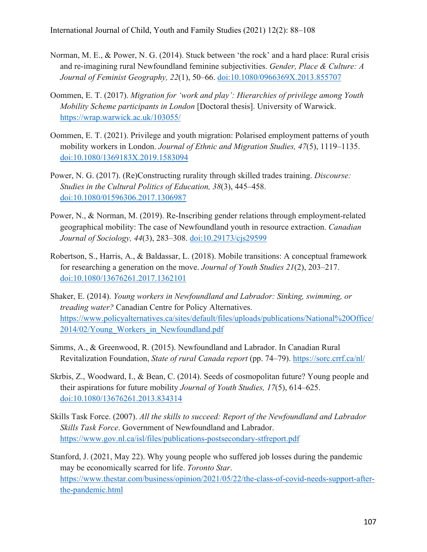- Norman, M. E., & Power, N. G. (2014). Stuck between 'the rock' and a hard place: Rural crisis and re-imagining rural Newfoundland feminine subjectivities. *Gender, Place & Culture: A Journal of Feminist Geography, 22*(1), 50–66. doi:10.1080/0966369X.2013.855707
- Oommen, E. T. (2017). *Migration for 'work and play': Hierarchies of privilege among Youth Mobility Scheme participants in London* [Doctoral thesis]. University of Warwick. https://wrap.warwick.ac.uk/103055/
- Oommen, E. T. (2021). Privilege and youth migration: Polarised employment patterns of youth mobility workers in London. *Journal of Ethnic and Migration Studies, 47*(5), 1119–1135. doi:10.1080/1369183X.2019.1583094
- Power, N. G. (2017). (Re)Constructing rurality through skilled trades training. *Discourse: Studies in the Cultural Politics of Education, 38*(3), 445–458. doi:10.1080/01596306.2017.1306987
- Power, N., & Norman, M. (2019). Re-Inscribing gender relations through employment-related geographical mobility: The case of Newfoundland youth in resource extraction. *Canadian Journal of Sociology, 44*(3), 283–308. doi:10.29173/cjs29599
- Robertson, S., Harris, A., & Baldassar, L. (2018). Mobile transitions: A conceptual framework for researching a generation on the move. *Journal of Youth Studies 21*(2), 203–217. doi:10.1080/13676261.2017.1362101
- Shaker, E. (2014). *Young workers in Newfoundland and Labrador: Sinking, swimming, or treading water?* Canadian Centre for Policy Alternatives. https://www.policyalternatives.ca/sites/default/files/uploads/publications/National%20Office/ 2014/02/Young\_Workers\_in\_Newfoundland.pdf
- Simms, A., & Greenwood, R. (2015). Newfoundland and Labrador. In Canadian Rural Revitalization Foundation, *State of rural Canada report* (pp. 74–79). https://sorc.crrf.ca/nl/
- Skrbis, Z., Woodward, I., & Bean, C. (2014). Seeds of cosmopolitan future? Young people and their aspirations for future mobility *Journal of Youth Studies, 17*(5), 614–625. doi:10.1080/13676261.2013.834314
- Skills Task Force. (2007). *All the skills to succeed: Report of the Newfoundland and Labrador Skills Task Force*. Government of Newfoundland and Labrador. https://www.gov.nl.ca/isl/files/publications-postsecondary-stfreport.pdf
- Stanford, J. (2021, May 22). Why young people who suffered job losses during the pandemic may be economically scarred for life. *Toronto Star*. https://www.thestar.com/business/opinion/2021/05/22/the-class-of-covid-needs-support-afterthe-pandemic.html